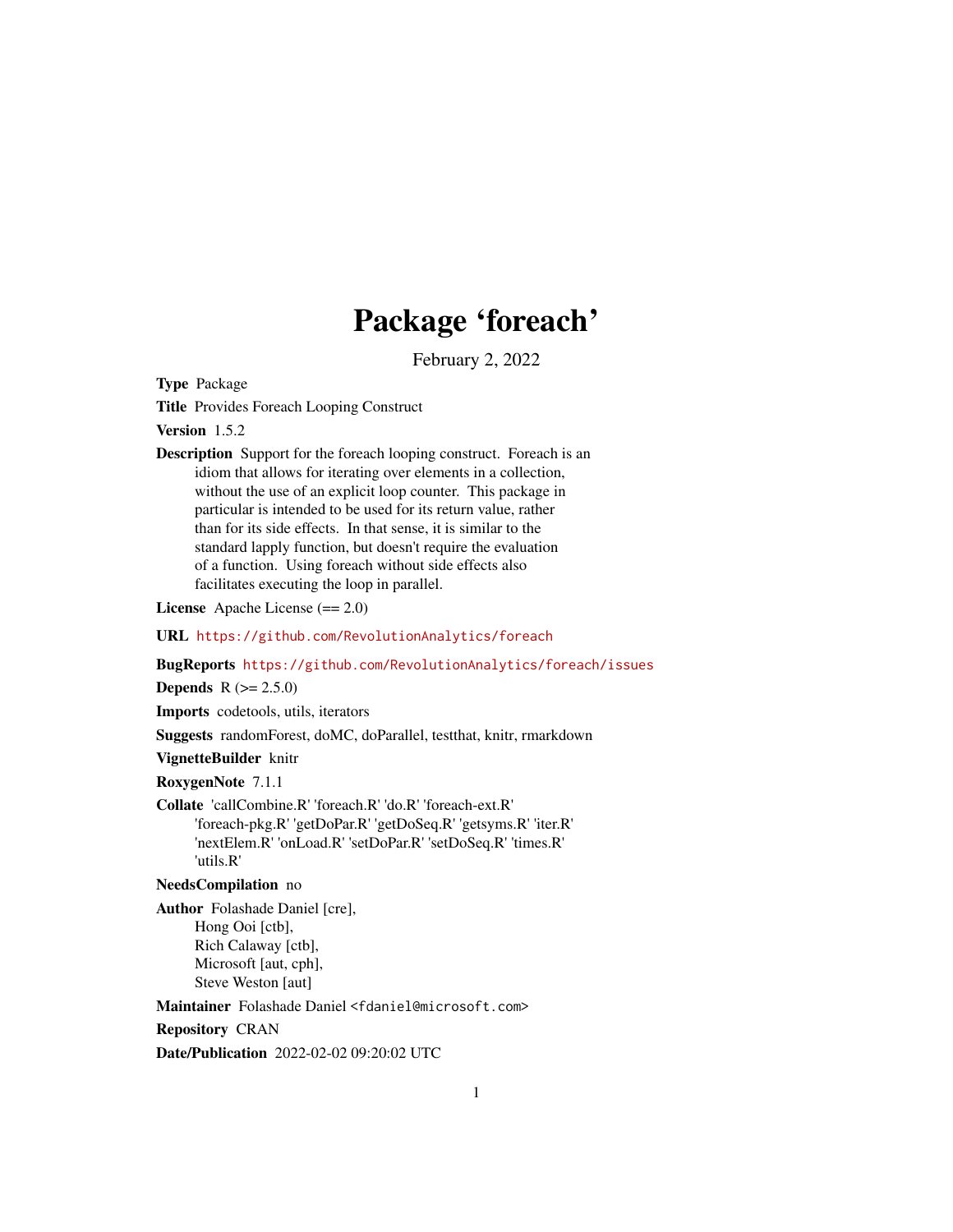## Package 'foreach'

February 2, 2022

<span id="page-0-0"></span>Type Package

Title Provides Foreach Looping Construct

Version 1.5.2

Description Support for the foreach looping construct. Foreach is an idiom that allows for iterating over elements in a collection, without the use of an explicit loop counter. This package in particular is intended to be used for its return value, rather than for its side effects. In that sense, it is similar to the standard lapply function, but doesn't require the evaluation of a function. Using foreach without side effects also facilitates executing the loop in parallel.

License Apache License (== 2.0)

URL <https://github.com/RevolutionAnalytics/foreach>

BugReports <https://github.com/RevolutionAnalytics/foreach/issues>

**Depends**  $R (= 2.5.0)$ 

Imports codetools, utils, iterators

Suggests randomForest, doMC, doParallel, testthat, knitr, rmarkdown

VignetteBuilder knitr

RoxygenNote 7.1.1

Collate 'callCombine.R' 'foreach.R' 'do.R' 'foreach-ext.R' 'foreach-pkg.R' 'getDoPar.R' 'getDoSeq.R' 'getsyms.R' 'iter.R' 'nextElem.R' 'onLoad.R' 'setDoPar.R' 'setDoSeq.R' 'times.R' 'utils.R'

NeedsCompilation no

Author Folashade Daniel [cre], Hong Ooi [ctb], Rich Calaway [ctb], Microsoft [aut, cph], Steve Weston [aut]

Maintainer Folashade Daniel <fdaniel@microsoft.com>

Repository CRAN

Date/Publication 2022-02-02 09:20:02 UTC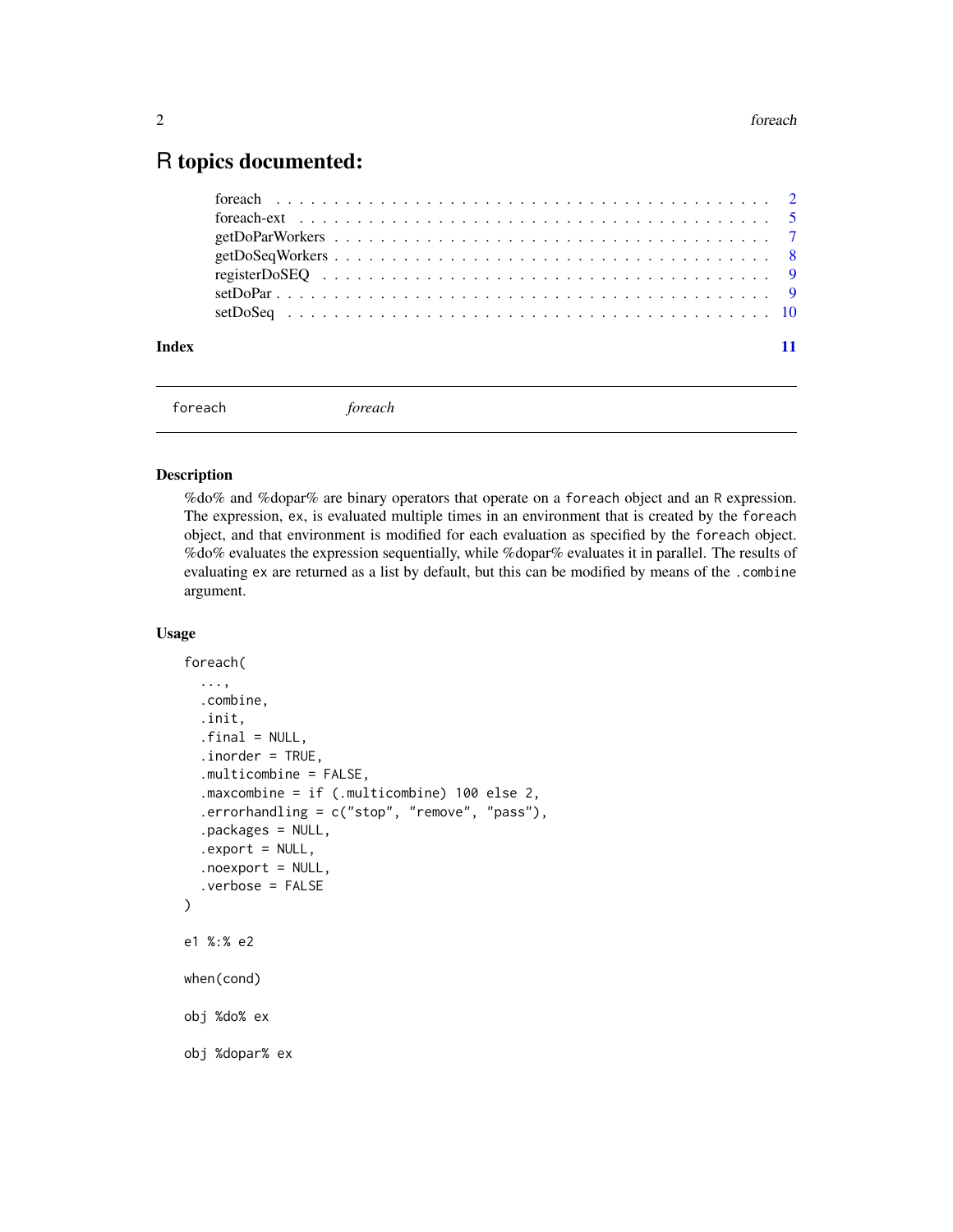### <span id="page-1-0"></span>R topics documented:

| Index |  |
|-------|--|
|       |  |

```
foreach foreach
```
#### <span id="page-1-1"></span>Description

%do% and %dopar% are binary operators that operate on a foreach object and an R expression. The expression, ex, is evaluated multiple times in an environment that is created by the foreach object, and that environment is modified for each evaluation as specified by the foreach object. %do% evaluates the expression sequentially, while %dopar% evaluates it in parallel. The results of evaluating ex are returned as a list by default, but this can be modified by means of the .combine argument.

#### Usage

```
foreach(
  ...,
  .combine,
  .init,
  .final = NULL,.inorder = TRUE,
  .multicombine = FALSE,
  .maxcombine = if (.multicombine) 100 else 2,
  .errorhandling = c("stop", "remove", "pass"),
  .packages = NULL,
  export = NULL,.noexport = NULL,.verbose = FALSE
)
e1 %:% e2
when(cond)
obj %do% ex
obj %dopar% ex
```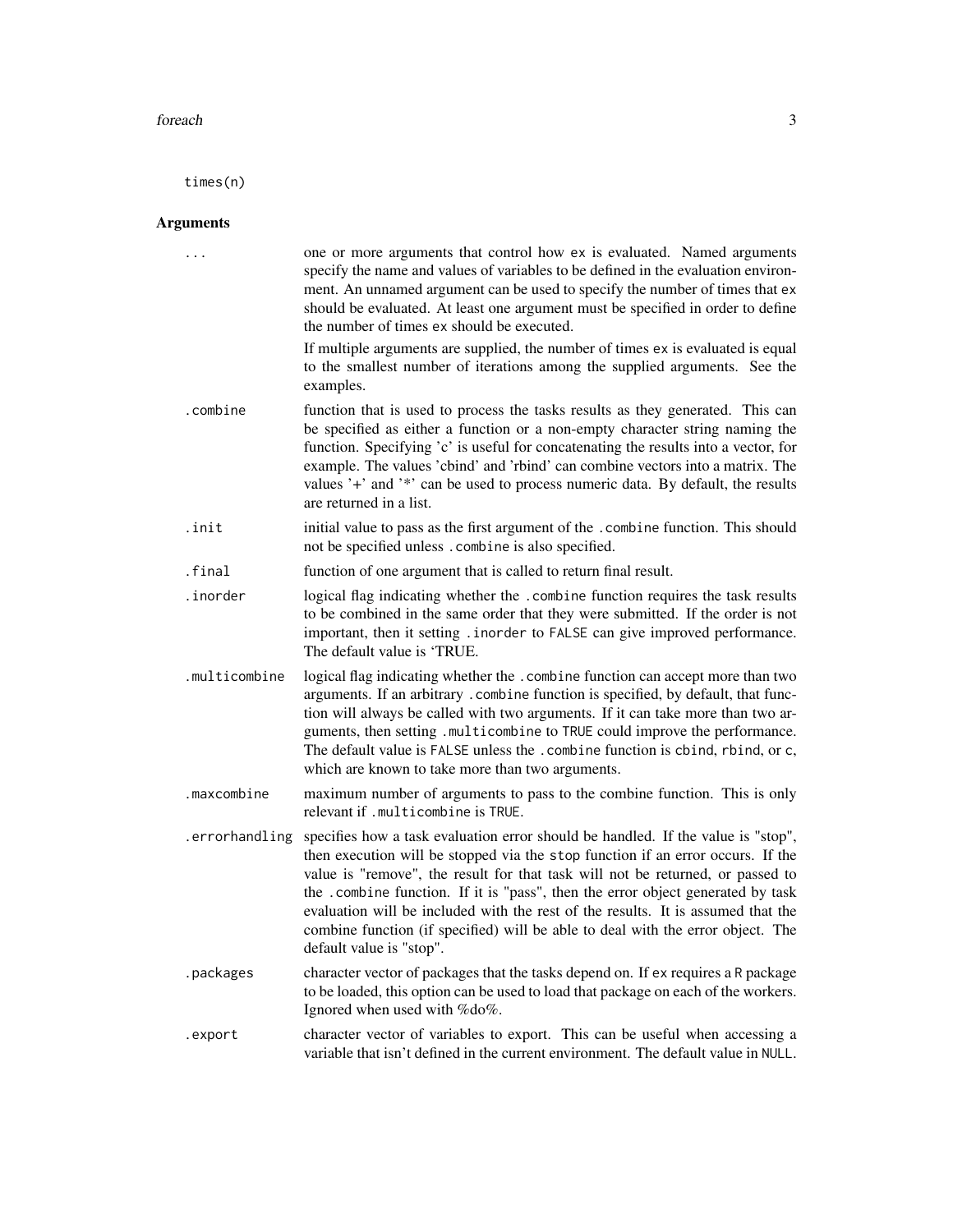#### foreach 3

times(n)

#### Arguments

| $\cdots$       | one or more arguments that control how ex is evaluated. Named arguments<br>specify the name and values of variables to be defined in the evaluation environ-<br>ment. An unnamed argument can be used to specify the number of times that ex<br>should be evaluated. At least one argument must be specified in order to define<br>the number of times ex should be executed.<br>If multiple arguments are supplied, the number of times ex is evaluated is equal<br>to the smallest number of iterations among the supplied arguments. See the<br>examples. |
|----------------|--------------------------------------------------------------------------------------------------------------------------------------------------------------------------------------------------------------------------------------------------------------------------------------------------------------------------------------------------------------------------------------------------------------------------------------------------------------------------------------------------------------------------------------------------------------|
| .combine       | function that is used to process the tasks results as they generated. This can<br>be specified as either a function or a non-empty character string naming the<br>function. Specifying 'c' is useful for concatenating the results into a vector, for<br>example. The values 'cbind' and 'rbind' can combine vectors into a matrix. The<br>values '+' and '*' can be used to process numeric data. By default, the results<br>are returned in a list.                                                                                                        |
| .init          | initial value to pass as the first argument of the . combine function. This should<br>not be specified unless. combine is also specified.                                                                                                                                                                                                                                                                                                                                                                                                                    |
| .final         | function of one argument that is called to return final result.                                                                                                                                                                                                                                                                                                                                                                                                                                                                                              |
| .inorder       | logical flag indicating whether the .combine function requires the task results<br>to be combined in the same order that they were submitted. If the order is not<br>important, then it setting . inorder to FALSE can give improved performance.<br>The default value is 'TRUE.                                                                                                                                                                                                                                                                             |
| .multicombine  | logical flag indicating whether the . combine function can accept more than two<br>arguments. If an arbitrary . combine function is specified, by default, that func-<br>tion will always be called with two arguments. If it can take more than two ar-<br>guments, then setting .multicombine to TRUE could improve the performance.<br>The default value is FALSE unless the . combine function is cbind, rbind, or c,<br>which are known to take more than two arguments.                                                                                |
| .maxcombine    | maximum number of arguments to pass to the combine function. This is only<br>relevant if .multicombine is TRUE.                                                                                                                                                                                                                                                                                                                                                                                                                                              |
| .errorhandling | specifies how a task evaluation error should be handled. If the value is "stop",<br>then execution will be stopped via the stop function if an error occurs. If the<br>value is "remove", the result for that task will not be returned, or passed to<br>the .combine function. If it is "pass", then the error object generated by task<br>evaluation will be included with the rest of the results. It is assumed that the<br>combine function (if specified) will be able to deal with the error object. The<br>default value is "stop".                  |
| .packages      | character vector of packages that the tasks depend on. If ex requires a R package<br>to be loaded, this option can be used to load that package on each of the workers.<br>Ignored when used with %do%.                                                                                                                                                                                                                                                                                                                                                      |
| .export        | character vector of variables to export. This can be useful when accessing a<br>variable that isn't defined in the current environment. The default value in NULL.                                                                                                                                                                                                                                                                                                                                                                                           |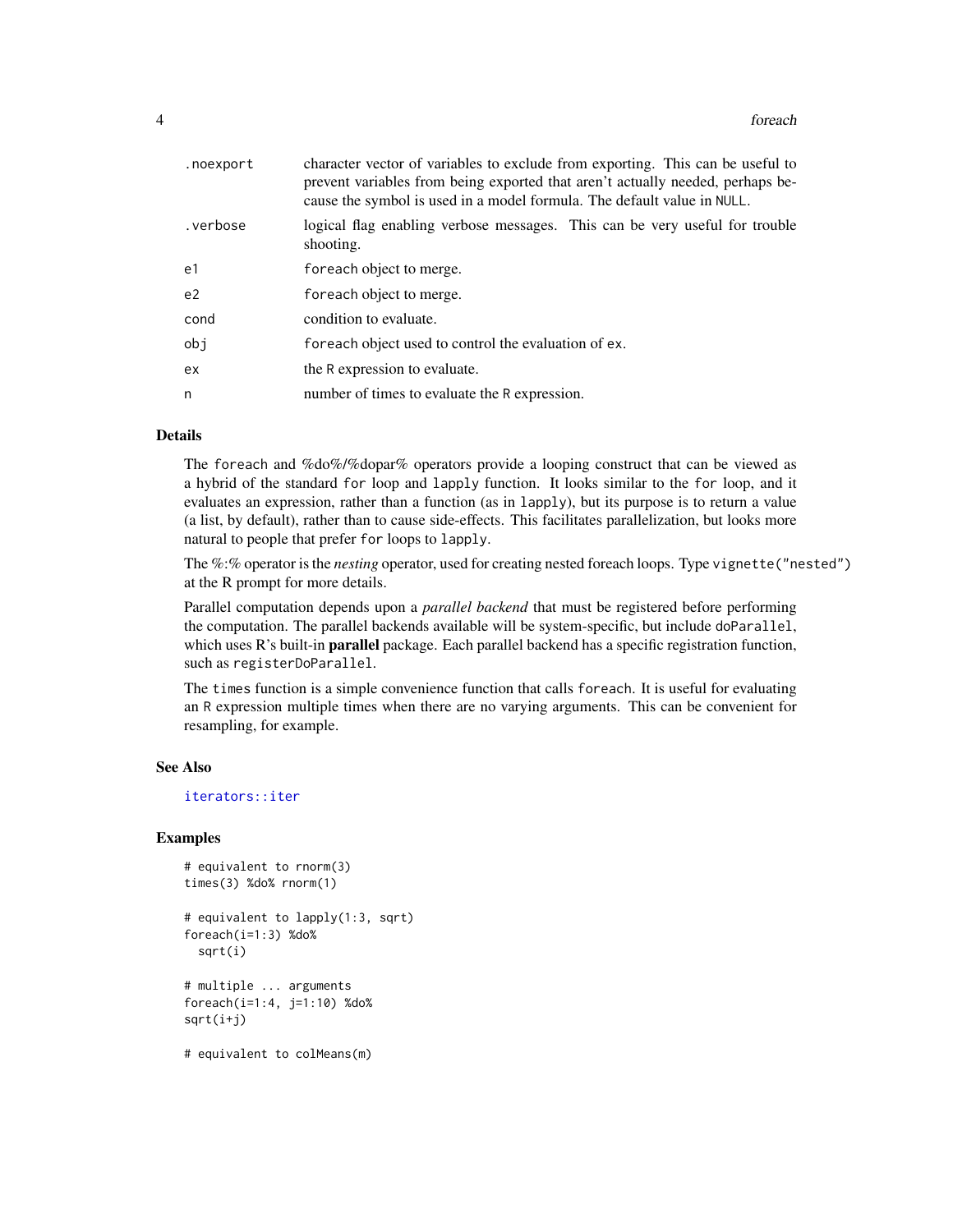<span id="page-3-0"></span>

| .noexport | character vector of variables to exclude from exporting. This can be useful to<br>prevent variables from being exported that aren't actually needed, perhaps be-<br>cause the symbol is used in a model formula. The default value in NULL. |
|-----------|---------------------------------------------------------------------------------------------------------------------------------------------------------------------------------------------------------------------------------------------|
| .verbose  | logical flag enabling verbose messages. This can be very useful for trouble<br>shooting.                                                                                                                                                    |
| e1        | foreach object to merge.                                                                                                                                                                                                                    |
| e2        | foreach object to merge.                                                                                                                                                                                                                    |
| cond      | condition to evaluate.                                                                                                                                                                                                                      |
| obi       | for each object used to control the evaluation of ex.                                                                                                                                                                                       |
| ex        | the R expression to evaluate.                                                                                                                                                                                                               |
| n         | number of times to evaluate the R expression.                                                                                                                                                                                               |

#### Details

The foreach and %do%/%dopar% operators provide a looping construct that can be viewed as a hybrid of the standard for loop and lapply function. It looks similar to the for loop, and it evaluates an expression, rather than a function (as in lapply), but its purpose is to return a value (a list, by default), rather than to cause side-effects. This facilitates parallelization, but looks more natural to people that prefer for loops to lapply.

The %:% operator is the *nesting* operator, used for creating nested foreach loops. Type vignette("nested") at the R prompt for more details.

Parallel computation depends upon a *parallel backend* that must be registered before performing the computation. The parallel backends available will be system-specific, but include doParallel, which uses R's built-in **parallel** package. Each parallel backend has a specific registration function, such as registerDoParallel.

The times function is a simple convenience function that calls foreach. It is useful for evaluating an R expression multiple times when there are no varying arguments. This can be convenient for resampling, for example.

#### See Also

[iterators::iter](#page-0-0)

#### Examples

```
# equivalent to rnorm(3)
times(3) %do% rnorm(1)
# equivalent to lapply(1:3, sqrt)
foreach(i=1:3) %do%
 sqrt(i)
# multiple ... arguments
foreach(i=1:4, j=1:10) %do%
sqrt(i+j)
# equivalent to colMeans(m)
```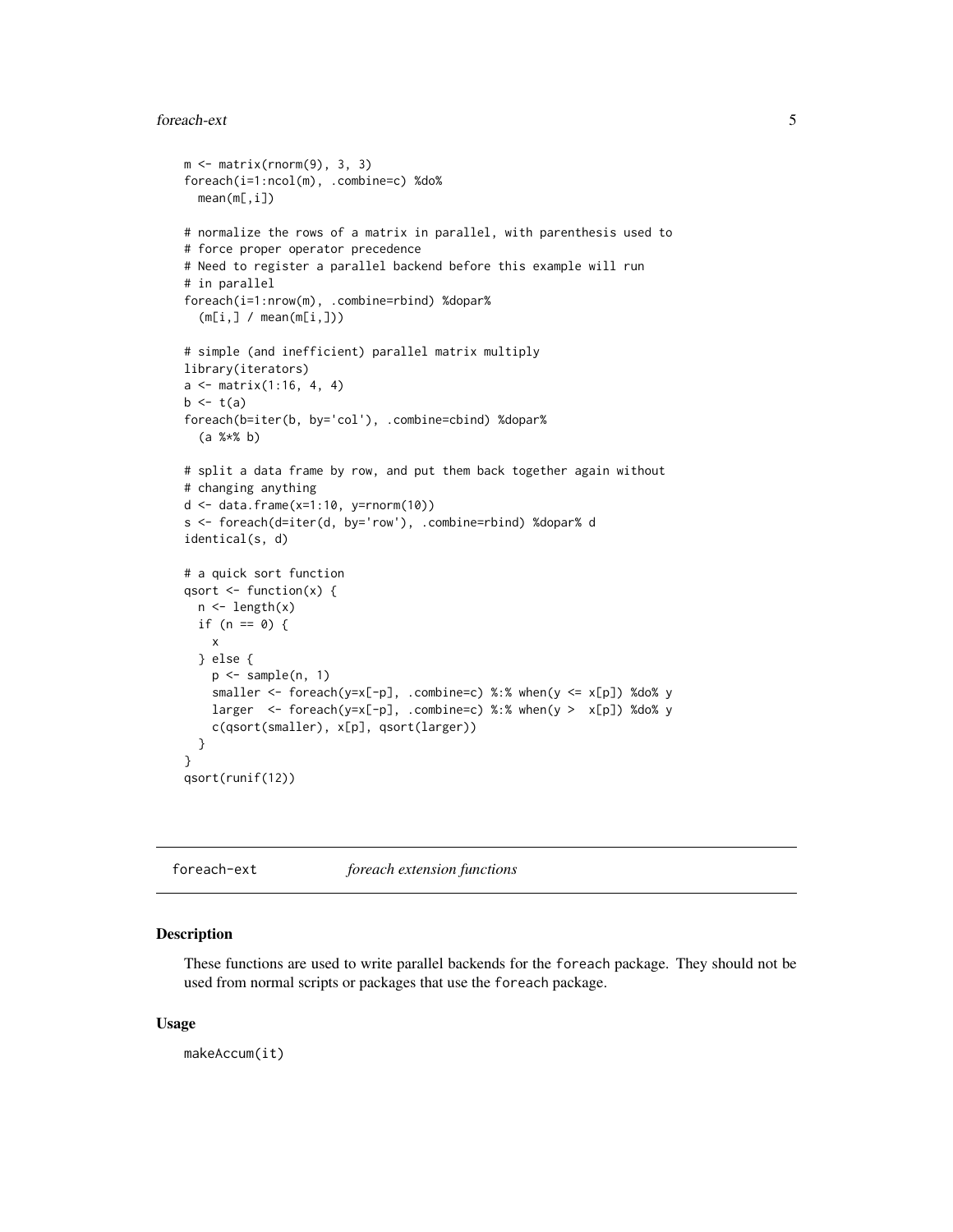#### <span id="page-4-0"></span>foreach-ext 5

```
m \leq - matrix(rnorm(9), 3, 3)
foreach(i=1:ncol(m), .combine=c) %do%
 mean(m[,i])
# normalize the rows of a matrix in parallel, with parenthesis used to
# force proper operator precedence
# Need to register a parallel backend before this example will run
# in parallel
foreach(i=1:nrow(m), .combine=rbind) %dopar%
  (m[i, ] / mean(m[i, ]))# simple (and inefficient) parallel matrix multiply
library(iterators)
a \leq - matrix(1:16, 4, 4)
b \leftarrow t(a)foreach(b=iter(b, by='col'), .combine=cbind) %dopar%
  (a %*% b)
# split a data frame by row, and put them back together again without
# changing anything
d \leq data.frame(x=1:10, y=rnorm(10))s <- foreach(d=iter(d, by='row'), .combine=rbind) %dopar% d
identical(s, d)
# a quick sort function
qsort \leq function(x) {
 n \leftarrow length(x)if (n == 0) {
   x
 } else {
   p \leftarrow sample(n, 1)
    smaller <- foreach(y=x[-p], .combine=c) %:% when(y <= x[p]) %do% y
    larger \le foreach(y=x[-p], .combine=c) %:% when(y > x[p]) %do% y
    c(qsort(smaller), x[p], qsort(larger))
 }
}
qsort(runif(12))
```
foreach-ext *foreach extension functions*

#### Description

These functions are used to write parallel backends for the foreach package. They should not be used from normal scripts or packages that use the foreach package.

#### Usage

makeAccum(it)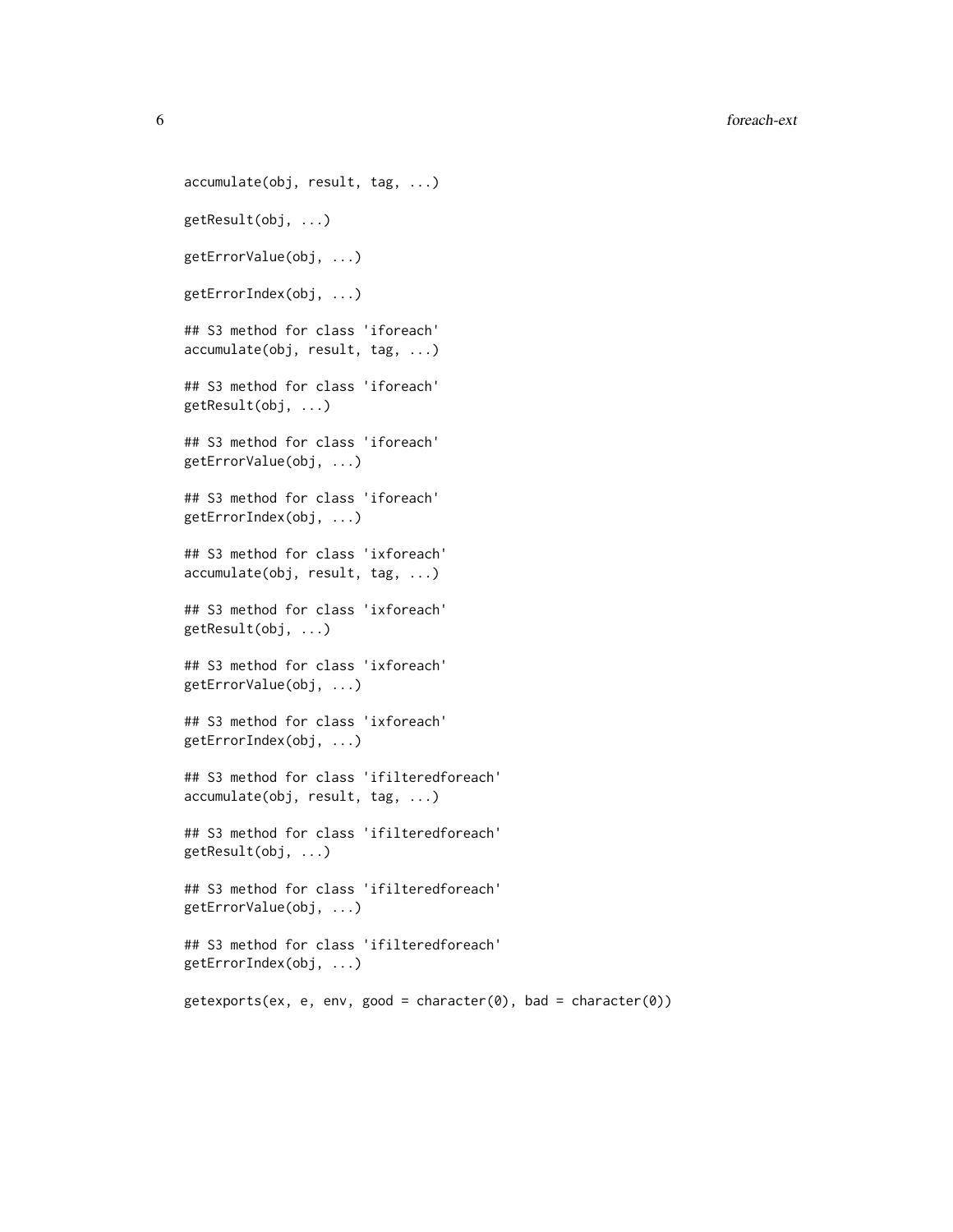6 foreach-ext

```
accumulate(obj, result, tag, ...)
getResult(obj, ...)
getErrorValue(obj, ...)
getErrorIndex(obj, ...)
## S3 method for class 'iforeach'
accumulate(obj, result, tag, ...)
## S3 method for class 'iforeach'
getResult(obj, ...)
## S3 method for class 'iforeach'
getErrorValue(obj, ...)
## S3 method for class 'iforeach'
getErrorIndex(obj, ...)
## S3 method for class 'ixforeach'
accumulate(obj, result, tag, ...)
## S3 method for class 'ixforeach'
getResult(obj, ...)
## S3 method for class 'ixforeach'
getErrorValue(obj, ...)
## S3 method for class 'ixforeach'
getErrorIndex(obj, ...)
## S3 method for class 'ifilteredforeach'
accumulate(obj, result, tag, ...)
## S3 method for class 'ifilteredforeach'
getResult(obj, ...)
## S3 method for class 'ifilteredforeach'
getErrorValue(obj, ...)
## S3 method for class 'ifilteredforeach'
getErrorIndex(obj, ...)
getexpress (ex, e, env, good = character(0), bad = character(0))
```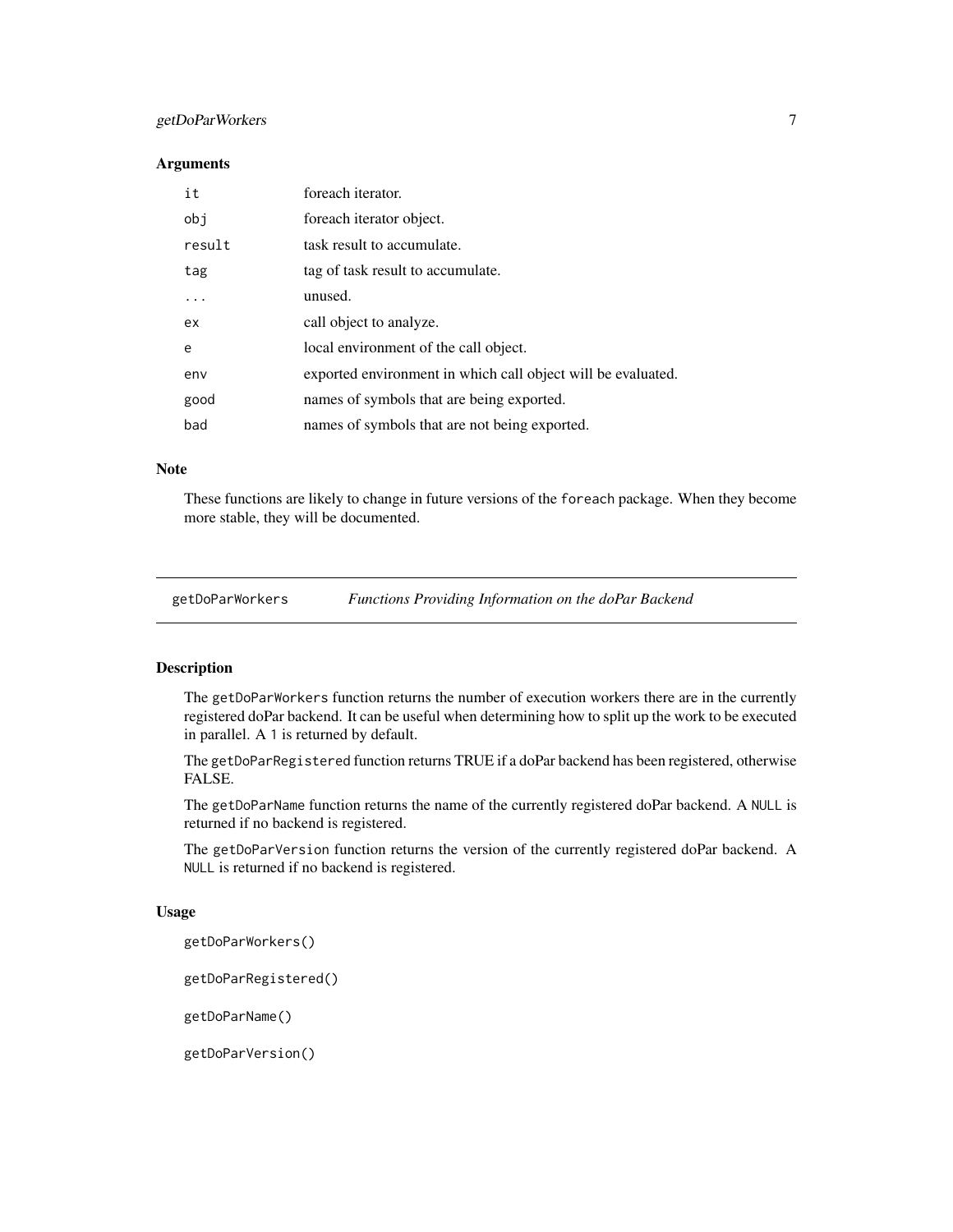#### <span id="page-6-0"></span>getDoParWorkers 7

#### Arguments

| it     | foreach iterator.                                            |
|--------|--------------------------------------------------------------|
| obj    | foreach iterator object.                                     |
| result | task result to accumulate.                                   |
| tag    | tag of task result to accumulate.                            |
| .      | unused.                                                      |
| ex.    | call object to analyze.                                      |
| e      | local environment of the call object.                        |
| env    | exported environment in which call object will be evaluated. |
| good   | names of symbols that are being exported.                    |
| bad    | names of symbols that are not being exported.                |

#### Note

These functions are likely to change in future versions of the foreach package. When they become more stable, they will be documented.

| getDoParWorkers | <b>Functions Providing Information on the doPar Backend</b> |  |
|-----------------|-------------------------------------------------------------|--|
|                 |                                                             |  |

#### Description

The getDoParWorkers function returns the number of execution workers there are in the currently registered doPar backend. It can be useful when determining how to split up the work to be executed in parallel. A 1 is returned by default.

The getDoParRegistered function returns TRUE if a doPar backend has been registered, otherwise FALSE.

The getDoParName function returns the name of the currently registered doPar backend. A NULL is returned if no backend is registered.

The getDoParVersion function returns the version of the currently registered doPar backend. A NULL is returned if no backend is registered.

#### Usage

getDoParWorkers()

getDoParRegistered()

getDoParName()

getDoParVersion()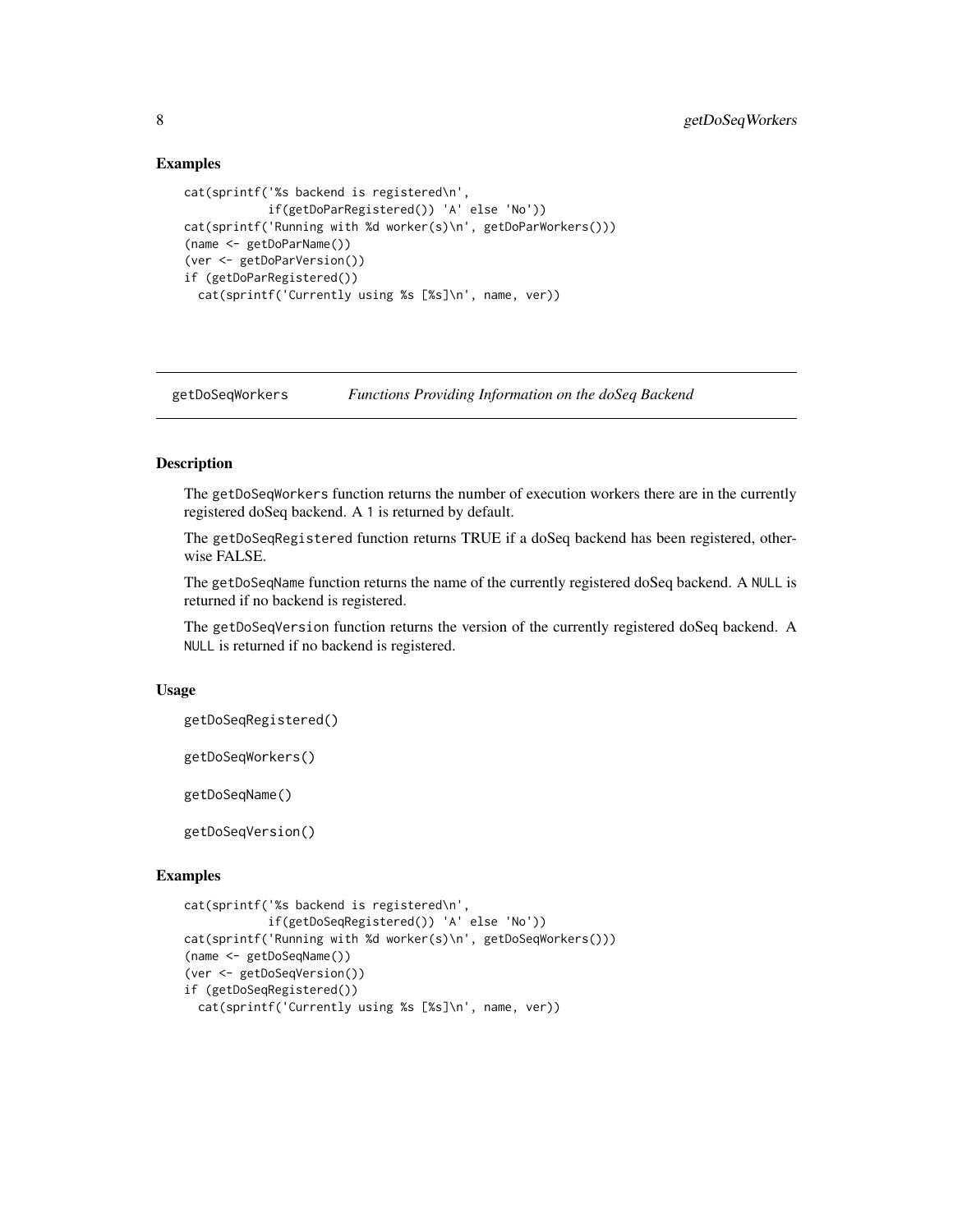#### Examples

```
cat(sprintf('%s backend is registered\n',
            if(getDoParRegistered()) 'A' else 'No'))
cat(sprintf('Running with %d worker(s)\n', getDoParWorkers()))
(name <- getDoParName())
(ver <- getDoParVersion())
if (getDoParRegistered())
 cat(sprintf('Currently using %s [%s]\n', name, ver))
```
getDoSeqWorkers *Functions Providing Information on the doSeq Backend*

#### Description

The getDoSeqWorkers function returns the number of execution workers there are in the currently registered doSeq backend. A 1 is returned by default.

The getDoSeqRegistered function returns TRUE if a doSeq backend has been registered, otherwise FALSE.

The getDoSeqName function returns the name of the currently registered doSeq backend. A NULL is returned if no backend is registered.

The getDoSeqVersion function returns the version of the currently registered doSeq backend. A NULL is returned if no backend is registered.

#### Usage

```
getDoSeqRegistered()
```
getDoSeqWorkers()

getDoSeqName()

getDoSeqVersion()

#### Examples

```
cat(sprintf('%s backend is registered\n',
            if(getDoSeqRegistered()) 'A' else 'No'))
cat(sprintf('Running with %d worker(s)\n', getDoSeqWorkers()))
(name <- getDoSeqName())
(ver <- getDoSeqVersion())
if (getDoSeqRegistered())
 cat(sprintf('Currently using %s [%s]\n', name, ver))
```
<span id="page-7-0"></span>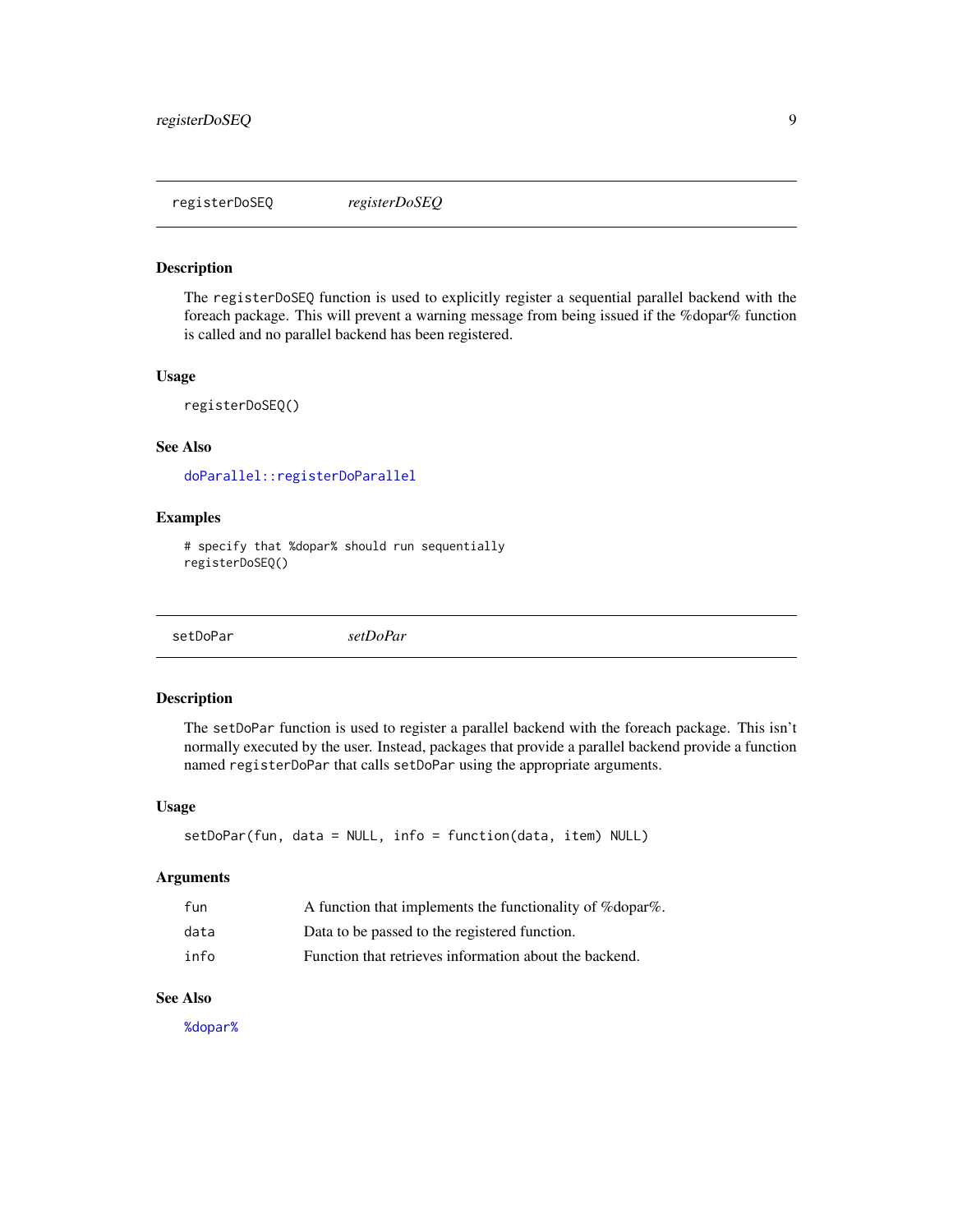#### <span id="page-8-0"></span>Description

The registerDoSEQ function is used to explicitly register a sequential parallel backend with the foreach package. This will prevent a warning message from being issued if the %dopar% function is called and no parallel backend has been registered.

#### Usage

```
registerDoSEQ()
```
#### See Also

[doParallel::registerDoParallel](#page-0-0)

#### Examples

```
# specify that %dopar% should run sequentially
registerDoSEQ()
```
setDoPar *setDoPar*

#### Description

The setDoPar function is used to register a parallel backend with the foreach package. This isn't normally executed by the user. Instead, packages that provide a parallel backend provide a function named registerDoPar that calls setDoPar using the appropriate arguments.

#### Usage

```
setDoPar(fun, data = NULL, info = function(data, item) NULL)
```
#### Arguments

| fun  | A function that implements the functionality of % dopar%. |
|------|-----------------------------------------------------------|
| data | Data to be passed to the registered function.             |
| info | Function that retrieves information about the backend.    |

#### See Also

[%dopar%](#page-1-1)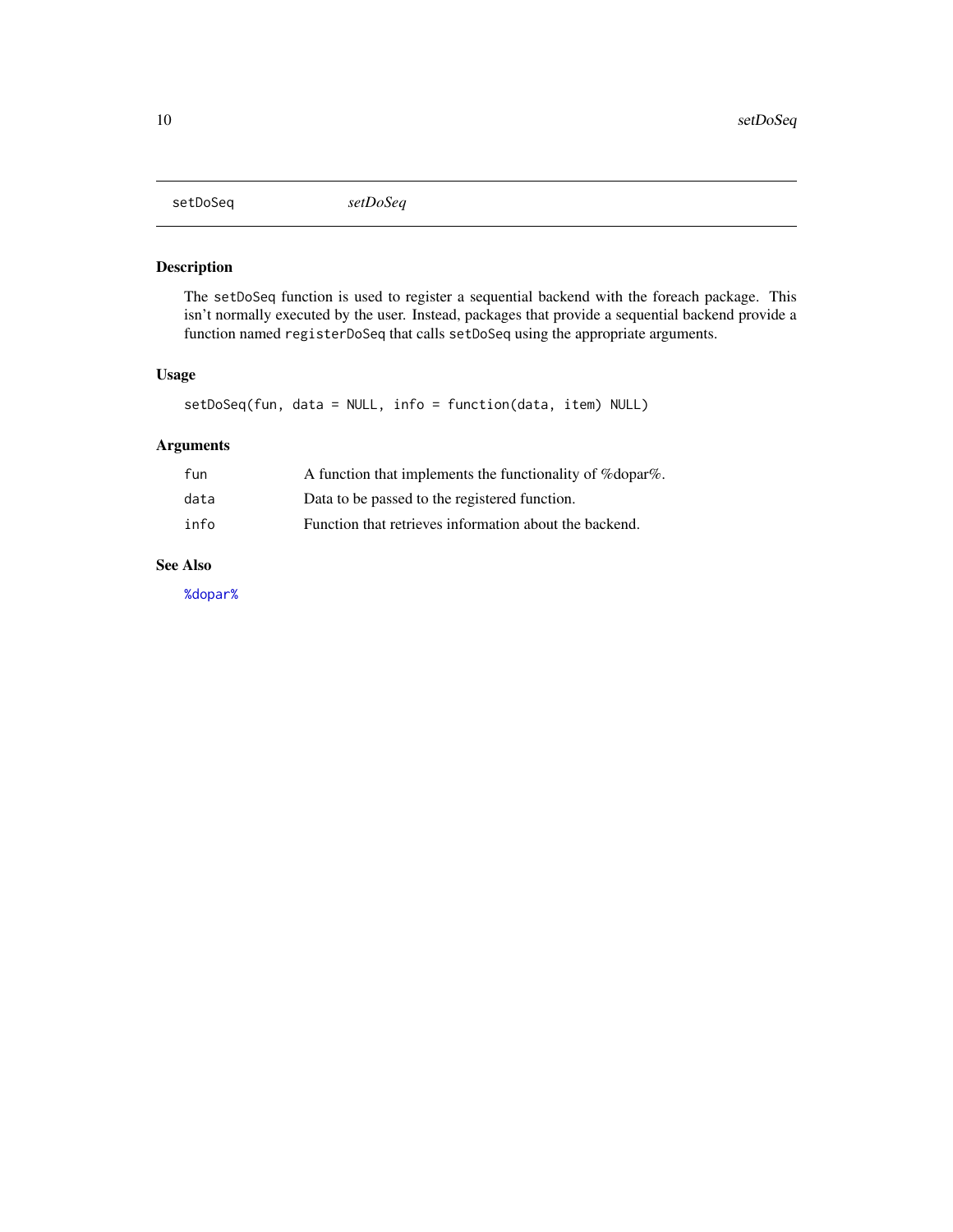<span id="page-9-0"></span>setDoSeq *setDoSeq*

#### Description

The setDoSeq function is used to register a sequential backend with the foreach package. This isn't normally executed by the user. Instead, packages that provide a sequential backend provide a function named registerDoSeq that calls setDoSeq using the appropriate arguments.

#### Usage

```
setDoSeq(fun, data = NULL, info = function(data, item) NULL)
```
#### Arguments

| fun  | A function that implements the functionality of % dopar%. |
|------|-----------------------------------------------------------|
| data | Data to be passed to the registered function.             |
| info | Function that retrieves information about the backend.    |

#### See Also

[%dopar%](#page-1-1)